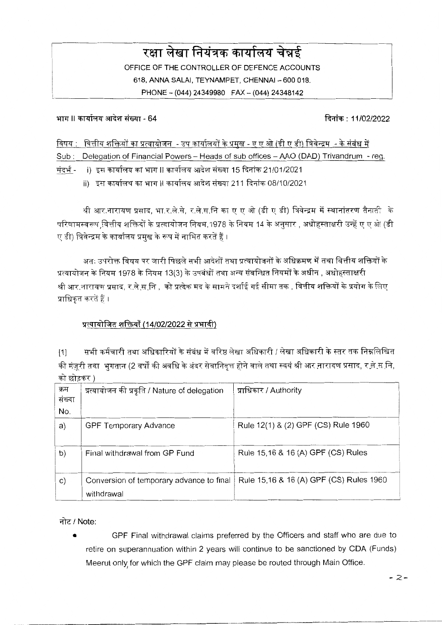# रक्षा लेखा नियंत्रक कार्यालय चेन्नई OFFICE OF THE CONTROLLER OF DEFENCE ACCOUNTS 618. ANNA SALAL TEYNAMPET, CHENNAL - 600 018. PHONE - (044) 24349980 FAX - (044) 24348142

भाग ।। कार्यालय आदेश संख्या - 64

दिनांक: 11/02/2022

विषय : वित्तीय शक्तियों का प्रत्यायोजन - उप कार्यालयों के प्रमख - ए ए ओ (डी ए डी) त्रिवेन्द्रम - के संबंध में

Sub: Delegation of Financial Powers - Heads of sub offices - AAO (DAD) Trivandrum - reg.

संदर्भ - i) इस कार्यालय का भाग II कार्यालय आदेश संख्या 15 दिनांक 21/01/2021

ii) इस कार्यालय का भाग II कार्यालय आदेश संख्या 211 दिनांक 08/10/2021

श्री आर.नारायण प्रसाद, भा.र.ले.से, र.ले.स.नि का ए ए ओ (डी ए डी) त्रिवेन्द्रम में स्थानांतरण तैनाती के परिणामस्वरूप वित्तीय शक्तियों के प्रत्यायोजन नियम.1978 के नियम 14 के अनसार , अधोहस्ताक्षरी उन्हें ए ए ओ (डी ए डी) त्रिवेन्द्रम के कार्यालय प्रमुख के रूप में नामित करतें हैं ।

अतः उपरोक्त विषय पर जारी पिछले सभी आदेशों तथा प्रत्यायोजनों के अधिक्रमण में तथा वित्तीय शक्तियों के प्रत्यायोजन के नियम 1978 के नियम 13(3) के उपबंधों तथा अन्य संबन्धित नियमों के अधीन , अधोहस्ताक्षरी श्री आर.नारायण प्रसाद, र.ले.स.नि , को प्रत्येक मद के सामने दर्शाई गई सीमा तक , वित्तीय शक्तियों के प्रयोग के लिए प्राधिकृत करतें हैं ।

# प्रत्यायोजित शक्तियाँ (14/02/2022 से प्रभावी)

सभी कर्मचारी तथा अधिकारियों के संबंध में वरिष्ठ लेखा अधिकारी / लेखा अधिकारी के स्तर तक निम्नलिखित  $[1]$ की मंज़ूरी तथा भुगतान (2 वर्षों की अवधि के अंदर सेवानिवृत्त होने वाले तथा स्वयं श्री आर नारायण प्रसाद, र <u>ले स</u> नि, को छोडकर )

| क्रम<br>संख्या<br>No. | प्रत्यायोजन की प्रकृति / Nature of delegation          | प्राधिकार / Authority                   |
|-----------------------|--------------------------------------------------------|-----------------------------------------|
| a)                    | <b>GPF Temporary Advance</b>                           | Rule 12(1) & (2) GPF (CS) Rule 1960     |
| b)                    | Final withdrawal from GP Fund                          | Rule 15,16 & 16 (A) GPF (CS) Rules      |
| $\mathsf{C}$ )        | Conversion of temporary advance to final<br>withdrawal | Rule 15,16 & 16 (A) GPF (CS) Rules 1960 |

नोट / Note:

GPF Final withdrawal claims preferred by the Officers and staff who are due to retire on superannuation within 2 years will continue to be sanctioned by CDA (Funds) Meerut only for which the GPF claim may please be routed through Main Office.

 $-2-$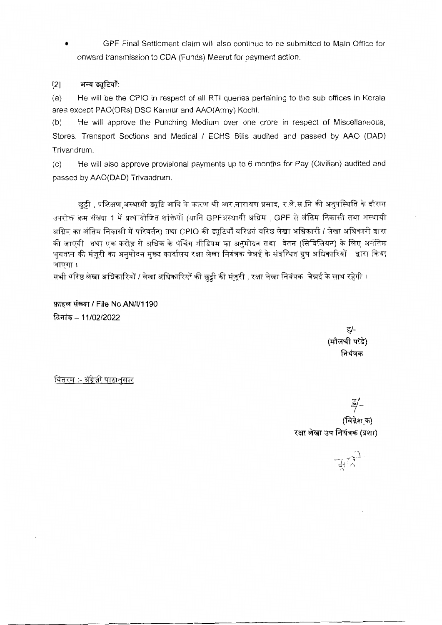GPF Final Settlement claim will also continue to be submitted to Main Office for Ä onward transmission to CDA (Funds) Meerut for payment action.

#### अन्य ड्यूटियाँ:  $[2]$

 $(a)$ He will be the CPIO in respect of all RTI queries pertaining to the sub offices in Kerala area except PAO(ORs) DSC Kannur and AAO(Army) Kochi.

He will approve the Punching Medium over one crore in respect of Miscellaneous,  $(b)$ Stores, Transport Sections and Medical / ECHS Bills audited and passed by AAO (DAD) Trivandrum.

He will also approve provisional payments up to 6 months for Pay (Civilian) audited and  $(c)$ passed by AAO(DAD) Trivandrum.

छुट्टी , प्रशिक्षण अस्थायी ड्यूटि आदि के कारण श्री आर नारायण प्रसाद, र ले स नि की अनुपस्थिति के दौरान उपरोक्त क्रम संख्या 1 में प्रत्यायोजित शक्तियों (यानि GPFअस्थायी अग्रिम), GPF से अंतिम निकासी तथा अस्थायी अग्रिम का अंतिम निकासी में परिवर्तन) तथा CPIO की ड्यूटियाँ वरिष्ठतं वरिष्ठ लेखा अधिकारी / लेखा अधिकारी द्वारा की जाएगी तथा एक करोड़ से अधिक के पंचिंग मीडियम का अनुमोदन तथा वेतन (सिविलियन) के लिए अनंतिम भुगतान की मंज़ूरी का अनुमोदन मुख्य कार्यालय रक्षा लेखा नियंत्रक चेन्नई के संबन्धित ग्रुप अधिकारियों द्वारा किया जाएगा ।

सभी वरिष्ठ लेखा अधिकारियों / लेखा अधिकारियों की छुट्टी की मंज़ूरी , रक्षा लेखा नियंत्रक चेन्नई के साथ रहेगी ।

फ़ाइल संख्या / File No.AN/l/1190 दिनांक - 11/02/2022

> ह/-(मौलश्री पांडे) नियंत्रक

वितरण :- अँग्रेज़ी पाठानुसार

(विग्रेश क) रक्षा लेखा उप नियंत्रक (प्रशा)

 $\overrightarrow{H}$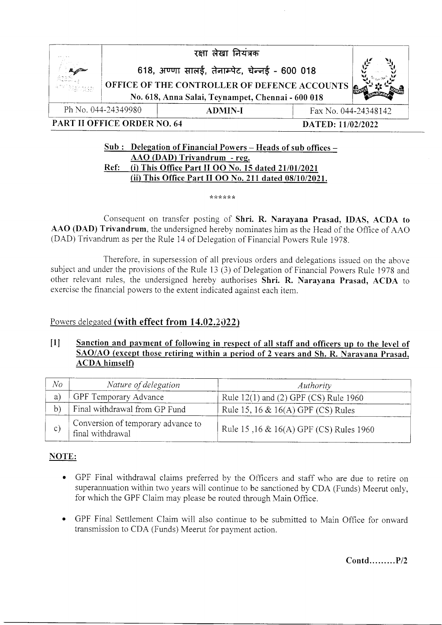|                                                  |                     | रक्षा लेखा नियंत्रक                                                                                                                                        |                      |  |
|--------------------------------------------------|---------------------|------------------------------------------------------------------------------------------------------------------------------------------------------------|----------------------|--|
| A                                                |                     | 618, अण्णा सालई, तेनाम्पेट, चेन्नई - 600 018<br>OFFICE OF THE CONTROLLER OF DEFENCE ACCOUNTS <b>6</b><br>No. 618, Anna Salai, Teynampet, Chennai - 600 018 |                      |  |
|                                                  | Ph No. 044-24349980 | <b>ADMIN-I</b>                                                                                                                                             | Fax No. 044-24348142 |  |
| PART II OFFICE ORDER NO. 64<br>DATED: 11/02/2022 |                     |                                                                                                                                                            |                      |  |

## $Sub:$  Delegation of Financial Powers – Heads of sub offices – AAO (DAD) Trivandrum - res. Ref: (i) This Office Part II OO No. 15 dated 21/01/2021 (ii) This Office Part II OO No. 211 dated 08/10/2021.

\*\*\*\*\*\*

Consequent on transfer posting of Shri. R. Narayana Prasad, IDAS, ACDA to AAO (DAD) Trivandrum, the undersigned hereby nominates him as the Head of the Office of AAO (DAD) Trivandrum as per the Rule 14 of Delegation of Financial Powers Rule 1978.

Therefore, in supersession of all previous orders and delegations issued on the above subject and under the provisions of the Rule 13 (3) of Delegation of Financial Powers Rule 1978 and other relevant rules, the undersigned hereby authorises Shri. R. Narayana Prasad, ACDA to exercise the financial powers to the extent indicated against each item.

# Powers delegated (with effect from  $14.02.2022$ )

## IU Sanction and pavment of following in respect of all staff and officers up to the level of SAO/AO (except those retiring within a period of 2 vears and Sh. R. Narayana Prasad. ACDA himself)

| No | Nature of delegation                                   | Authority                                   |
|----|--------------------------------------------------------|---------------------------------------------|
| a) | GPF Temporary Advance                                  | Rule $12(1)$ and $(2)$ GPF $(CS)$ Rule 1960 |
| b) | Final withdrawal from GP Fund                          | Rule 15, 16 $\&$ 16(A) GPF (CS) Rules       |
| C) | Conversion of temporary advance to<br>final withdrawal | Rule 15,16 & 16(A) GPF (CS) Rules 1960      |

# NOTE:

- . GPF Final withdrawal claims preferred by the Olficers and staff who are due to retire on superannuation within two years will continue to be sanctioned by CDA (Funds) Meerut only, for which the GPF Claim may please be routed through Main Office.
- o GPF Final Settlement Claim will also continue to be submitted to Main Office for onward transmission to CDA (Funds) Meerut for payment action.

Contd.. .......P12